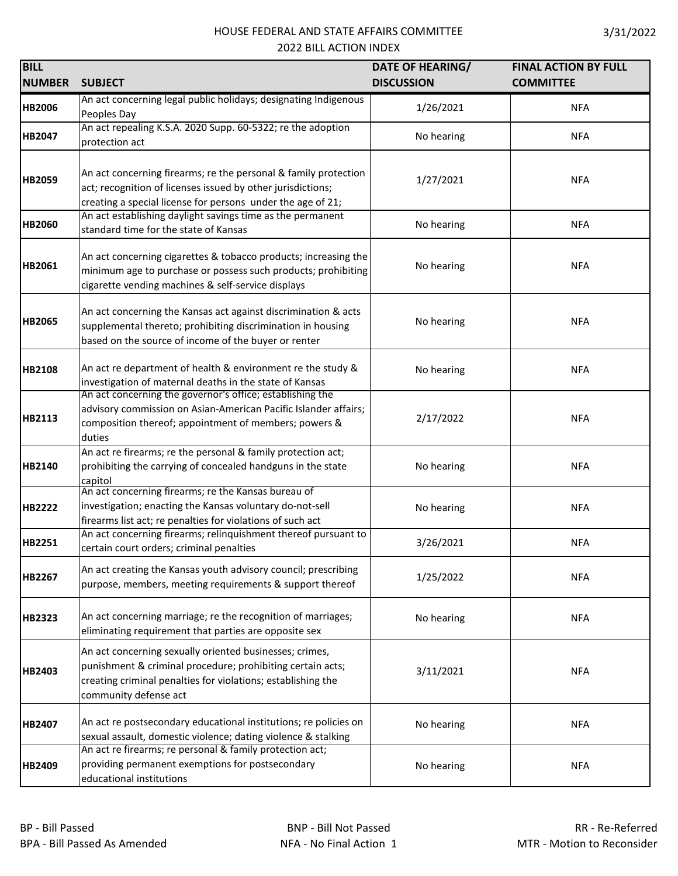| <b>BILL</b>   |                                                                                                                           | DATE OF HEARING/  | <b>FINAL ACTION BY FULL</b> |
|---------------|---------------------------------------------------------------------------------------------------------------------------|-------------------|-----------------------------|
| <b>NUMBER</b> | <b>SUBJECT</b>                                                                                                            | <b>DISCUSSION</b> | <b>COMMITTEE</b>            |
| <b>HB2006</b> | An act concerning legal public holidays; designating Indigenous                                                           | 1/26/2021         | <b>NFA</b>                  |
|               | Peoples Day<br>An act repealing K.S.A. 2020 Supp. 60-5322; re the adoption                                                |                   |                             |
| <b>HB2047</b> | protection act                                                                                                            | No hearing        | <b>NFA</b>                  |
|               |                                                                                                                           |                   |                             |
|               | An act concerning firearms; re the personal & family protection                                                           |                   |                             |
| <b>HB2059</b> | act; recognition of licenses issued by other jurisdictions;                                                               | 1/27/2021         | <b>NFA</b>                  |
|               | creating a special license for persons under the age of 21;                                                               |                   |                             |
|               | An act establishing daylight savings time as the permanent                                                                |                   |                             |
| <b>HB2060</b> | standard time for the state of Kansas                                                                                     | No hearing        | <b>NFA</b>                  |
|               | An act concerning cigarettes & tobacco products; increasing the                                                           |                   |                             |
| <b>HB2061</b> | minimum age to purchase or possess such products; prohibiting                                                             | No hearing        | <b>NFA</b>                  |
|               | cigarette vending machines & self-service displays                                                                        |                   |                             |
|               |                                                                                                                           |                   |                             |
|               | An act concerning the Kansas act against discrimination & acts                                                            |                   |                             |
| <b>HB2065</b> | supplemental thereto; prohibiting discrimination in housing                                                               | No hearing        | <b>NFA</b>                  |
|               | based on the source of income of the buyer or renter                                                                      |                   |                             |
| <b>HB2108</b> | An act re department of health & environment re the study &                                                               | No hearing        | <b>NFA</b>                  |
|               | investigation of maternal deaths in the state of Kansas                                                                   |                   |                             |
|               | An act concerning the governor's office; establishing the                                                                 |                   |                             |
|               | advisory commission on Asian-American Pacific Islander affairs;                                                           |                   |                             |
| <b>HB2113</b> | composition thereof; appointment of members; powers &                                                                     | 2/17/2022         | <b>NFA</b>                  |
|               | duties                                                                                                                    |                   |                             |
|               | An act re firearms; re the personal & family protection act;                                                              |                   |                             |
| <b>HB2140</b> | prohibiting the carrying of concealed handguns in the state                                                               | No hearing        | <b>NFA</b>                  |
|               | capitol<br>An act concerning firearms; re the Kansas bureau of                                                            |                   |                             |
| <b>HB2222</b> | investigation; enacting the Kansas voluntary do-not-sell                                                                  | No hearing        | <b>NFA</b>                  |
|               | firearms list act; re penalties for violations of such act                                                                |                   |                             |
|               | An act concerning firearms; relinquishment thereof pursuant to                                                            |                   |                             |
| <b>HB2251</b> | certain court orders; criminal penalties                                                                                  | 3/26/2021         | <b>NFA</b>                  |
|               | An act creating the Kansas youth advisory council; prescribing                                                            |                   |                             |
| <b>HB2267</b> | purpose, members, meeting requirements & support thereof                                                                  | 1/25/2022         | <b>NFA</b>                  |
|               |                                                                                                                           |                   |                             |
| <b>HB2323</b> | An act concerning marriage; re the recognition of marriages;                                                              | No hearing        | <b>NFA</b>                  |
|               | eliminating requirement that parties are opposite sex                                                                     |                   |                             |
|               | An act concerning sexually oriented businesses; crimes,                                                                   |                   |                             |
|               | punishment & criminal procedure; prohibiting certain acts;                                                                |                   |                             |
| <b>HB2403</b> | creating criminal penalties for violations; establishing the                                                              | 3/11/2021         | <b>NFA</b>                  |
|               | community defense act                                                                                                     |                   |                             |
|               |                                                                                                                           |                   |                             |
| HB2407        | An act re postsecondary educational institutions; re policies on                                                          | No hearing        | <b>NFA</b>                  |
|               | sexual assault, domestic violence; dating violence & stalking<br>An act re firearms; re personal & family protection act; |                   |                             |
| <b>HB2409</b> | providing permanent exemptions for postsecondary                                                                          | No hearing        | <b>NFA</b>                  |
|               | educational institutions                                                                                                  |                   |                             |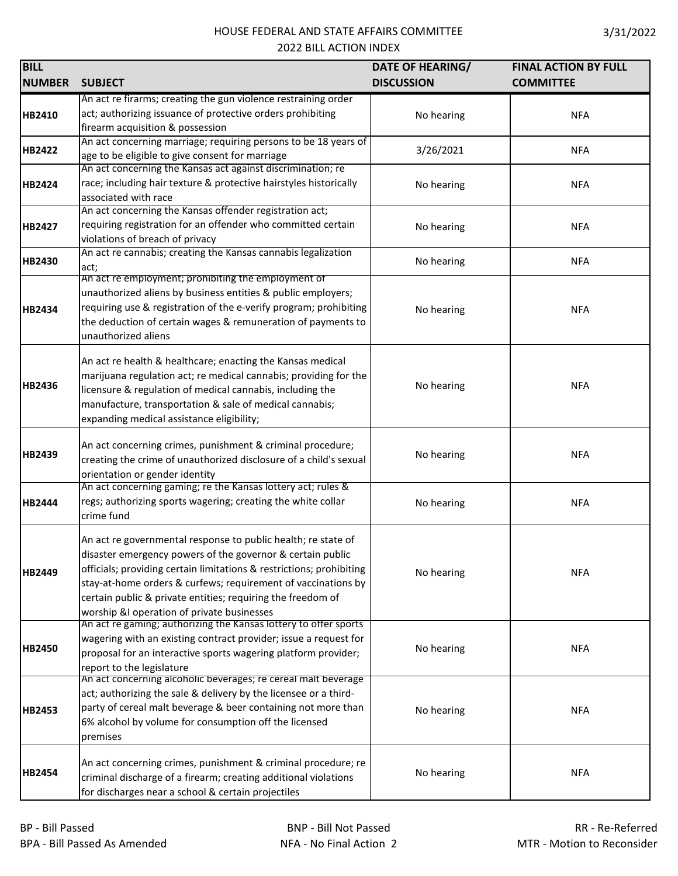| <b>BILL</b>   |                                                                      | DATE OF HEARING/  | <b>FINAL ACTION BY FULL</b> |
|---------------|----------------------------------------------------------------------|-------------------|-----------------------------|
| <b>NUMBER</b> | <b>SUBJECT</b>                                                       | <b>DISCUSSION</b> | <b>COMMITTEE</b>            |
|               | An act re firarms; creating the gun violence restraining order       |                   |                             |
| HB2410        | act; authorizing issuance of protective orders prohibiting           | No hearing        | <b>NFA</b>                  |
|               | firearm acquisition & possession                                     |                   |                             |
| <b>HB2422</b> | An act concerning marriage; requiring persons to be 18 years of      |                   |                             |
|               | age to be eligible to give consent for marriage                      | 3/26/2021         | <b>NFA</b>                  |
|               | An act concerning the Kansas act against discrimination; re          |                   |                             |
| HB2424        | race; including hair texture & protective hairstyles historically    | No hearing        | <b>NFA</b>                  |
|               | associated with race                                                 |                   |                             |
|               | An act concerning the Kansas offender registration act;              |                   |                             |
| <b>HB2427</b> | requiring registration for an offender who committed certain         | No hearing        | <b>NFA</b>                  |
|               | violations of breach of privacy                                      |                   |                             |
| <b>HB2430</b> | An act re cannabis; creating the Kansas cannabis legalization        | No hearing        | <b>NFA</b>                  |
|               | act;<br>An act re employment; prohibiting the employment of          |                   |                             |
|               | unauthorized aliens by business entities & public employers;         |                   |                             |
|               | requiring use & registration of the e-verify program; prohibiting    |                   | <b>NFA</b>                  |
| <b>HB2434</b> | the deduction of certain wages & remuneration of payments to         | No hearing        |                             |
|               | unauthorized aliens                                                  |                   |                             |
|               |                                                                      |                   |                             |
|               | An act re health & healthcare; enacting the Kansas medical           |                   |                             |
|               | marijuana regulation act; re medical cannabis; providing for the     |                   |                             |
| <b>HB2436</b> | licensure & regulation of medical cannabis, including the            | No hearing        | <b>NFA</b>                  |
|               | manufacture, transportation & sale of medical cannabis;              |                   |                             |
|               | expanding medical assistance eligibility;                            |                   |                             |
|               |                                                                      |                   |                             |
| HB2439        | An act concerning crimes, punishment & criminal procedure;           |                   | <b>NFA</b>                  |
|               | creating the crime of unauthorized disclosure of a child's sexual    | No hearing        |                             |
|               | orientation or gender identity                                       |                   |                             |
|               | An act concerning gaming; re the Kansas lottery act; rules &         |                   |                             |
| <b>HB2444</b> | regs; authorizing sports wagering; creating the white collar         | No hearing        | <b>NFA</b>                  |
|               | crime fund                                                           |                   |                             |
|               | An act re governmental response to public health; re state of        |                   |                             |
|               | disaster emergency powers of the governor & certain public           |                   |                             |
| <b>HB2449</b> | officials; providing certain limitations & restrictions; prohibiting | No hearing        | <b>NFA</b>                  |
|               | stay-at-home orders & curfews; requirement of vaccinations by        |                   |                             |
|               | certain public & private entities; requiring the freedom of          |                   |                             |
|               | worship &I operation of private businesses                           |                   |                             |
|               | An act re gaming; authorizing the Kansas lottery to offer sports     |                   |                             |
|               | wagering with an existing contract provider; issue a request for     |                   |                             |
| <b>HB2450</b> | proposal for an interactive sports wagering platform provider;       | No hearing        | <b>NFA</b>                  |
|               | report to the legislature                                            |                   |                             |
|               | An act concerning alcoholic beverages; re cereal malt beverage       |                   |                             |
|               | act; authorizing the sale & delivery by the licensee or a third-     |                   |                             |
| <b>HB2453</b> | party of cereal malt beverage & beer containing not more than        | No hearing        | <b>NFA</b>                  |
|               | 6% alcohol by volume for consumption off the licensed                |                   |                             |
|               | premises                                                             |                   |                             |
|               |                                                                      |                   |                             |
| <b>HB2454</b> | An act concerning crimes, punishment & criminal procedure; re        | No hearing        | <b>NFA</b>                  |
|               | criminal discharge of a firearm; creating additional violations      |                   |                             |
|               | for discharges near a school & certain projectiles                   |                   |                             |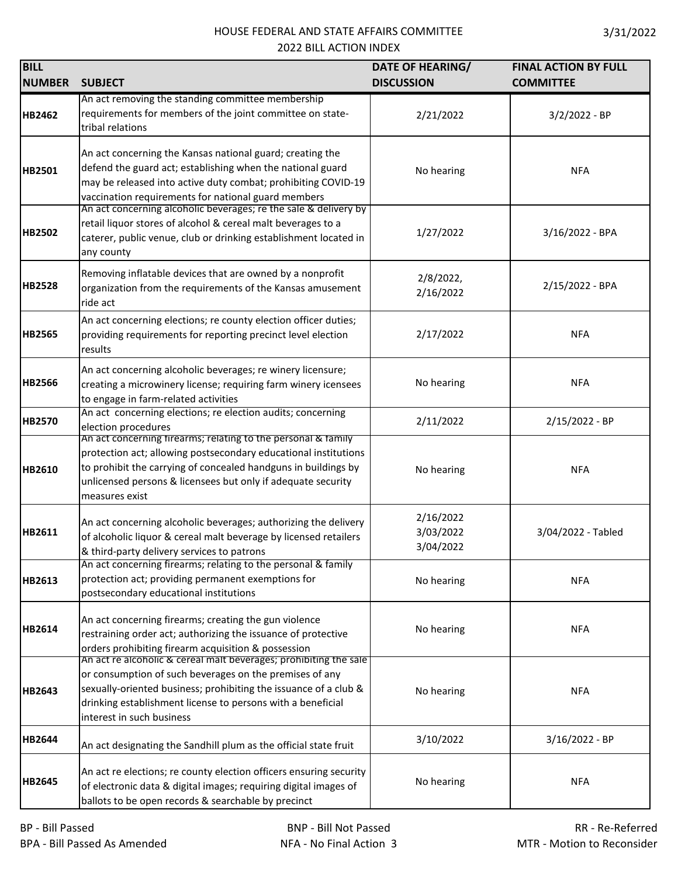| <b>BILL</b>   |                                                                                                                                                                                                                                                                                              | DATE OF HEARING/                    | <b>FINAL ACTION BY FULL</b> |
|---------------|----------------------------------------------------------------------------------------------------------------------------------------------------------------------------------------------------------------------------------------------------------------------------------------------|-------------------------------------|-----------------------------|
| <b>NUMBER</b> | <b>SUBJECT</b>                                                                                                                                                                                                                                                                               | <b>DISCUSSION</b>                   | <b>COMMITTEE</b>            |
|               | An act removing the standing committee membership                                                                                                                                                                                                                                            |                                     |                             |
| <b>HB2462</b> | requirements for members of the joint committee on state-<br>tribal relations                                                                                                                                                                                                                | 2/21/2022                           | $3/2/2022 - BP$             |
| HB2501        | An act concerning the Kansas national guard; creating the<br>defend the guard act; establishing when the national guard<br>may be released into active duty combat; prohibiting COVID-19<br>vaccination requirements for national guard members                                              | No hearing                          | <b>NFA</b>                  |
| <b>HB2502</b> | An act concerning alcoholic beverages; re the sale & delivery by<br>retail liquor stores of alcohol & cereal malt beverages to a<br>caterer, public venue, club or drinking establishment located in<br>any county                                                                           | 1/27/2022                           | 3/16/2022 - BPA             |
| <b>HB2528</b> | Removing inflatable devices that are owned by a nonprofit<br>organization from the requirements of the Kansas amusement<br>ride act                                                                                                                                                          | 2/8/2022,<br>2/16/2022              | 2/15/2022 - BPA             |
| <b>HB2565</b> | An act concerning elections; re county election officer duties;<br>providing requirements for reporting precinct level election<br>results                                                                                                                                                   | 2/17/2022                           | <b>NFA</b>                  |
| <b>HB2566</b> | An act concerning alcoholic beverages; re winery licensure;<br>creating a microwinery license; requiring farm winery icensees<br>to engage in farm-related activities                                                                                                                        | No hearing                          | <b>NFA</b>                  |
| HB2570        | An act concerning elections; re election audits; concerning<br>election procedures                                                                                                                                                                                                           | 2/11/2022                           | 2/15/2022 - BP              |
| HB2610        | An act concerning firearms; relating to the personal & family<br>protection act; allowing postsecondary educational institutions<br>to prohibit the carrying of concealed handguns in buildings by<br>unlicensed persons & licensees but only if adequate security<br>measures exist         | No hearing                          | <b>NFA</b>                  |
| HB2611        | An act concerning alcoholic beverages; authorizing the delivery<br>of alcoholic liquor & cereal malt beverage by licensed retailers<br>& third-party delivery services to patrons                                                                                                            | 2/16/2022<br>3/03/2022<br>3/04/2022 | 3/04/2022 - Tabled          |
| HB2613        | An act concerning firearms; relating to the personal & family<br>protection act; providing permanent exemptions for<br>postsecondary educational institutions                                                                                                                                | No hearing                          | <b>NFA</b>                  |
| HB2614        | An act concerning firearms; creating the gun violence<br>restraining order act; authorizing the issuance of protective<br>orders prohibiting firearm acquisition & possession                                                                                                                | No hearing                          | <b>NFA</b>                  |
| <b>HB2643</b> | An act re alcoholic & cereal malt beverages; prohibiting the sale<br>or consumption of such beverages on the premises of any<br>sexually-oriented business; prohibiting the issuance of a club &<br>drinking establishment license to persons with a beneficial<br>interest in such business | No hearing                          | <b>NFA</b>                  |
| <b>HB2644</b> | An act designating the Sandhill plum as the official state fruit                                                                                                                                                                                                                             | 3/10/2022                           | 3/16/2022 - BP              |
| <b>HB2645</b> | An act re elections; re county election officers ensuring security<br>of electronic data & digital images; requiring digital images of<br>ballots to be open records & searchable by precinct                                                                                                | No hearing                          | <b>NFA</b>                  |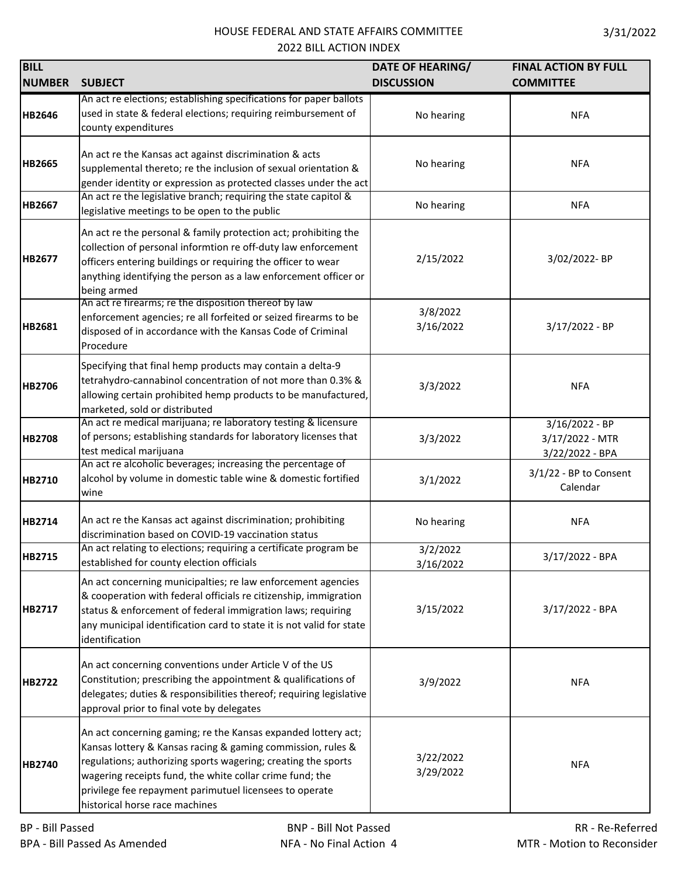| <b>BILL</b>   |                                                                                                                                                                                                                                                                                           | <b>DATE OF HEARING/</b> | <b>FINAL ACTION BY FULL</b>                          |
|---------------|-------------------------------------------------------------------------------------------------------------------------------------------------------------------------------------------------------------------------------------------------------------------------------------------|-------------------------|------------------------------------------------------|
| <b>NUMBER</b> | <b>SUBJECT</b>                                                                                                                                                                                                                                                                            | <b>DISCUSSION</b>       | <b>COMMITTEE</b>                                     |
| HB2646        | An act re elections; establishing specifications for paper ballots<br>used in state & federal elections; requiring reimbursement of<br>county expenditures                                                                                                                                | No hearing              | <b>NFA</b>                                           |
| <b>HB2665</b> | An act re the Kansas act against discrimination & acts<br>supplemental thereto; re the inclusion of sexual orientation &<br>gender identity or expression as protected classes under the act                                                                                              | No hearing              | <b>NFA</b>                                           |
| HB2667        | An act re the legislative branch; requiring the state capitol &<br>legislative meetings to be open to the public                                                                                                                                                                          | No hearing              | <b>NFA</b>                                           |
| HB2677        | An act re the personal & family protection act; prohibiting the<br>collection of personal informtion re off-duty law enforcement<br>officers entering buildings or requiring the officer to wear<br>anything identifying the person as a law enforcement officer or<br>being armed        | 2/15/2022               | 3/02/2022-BP                                         |
| HB2681        | An act re firearms; re the disposition thereof by law<br>enforcement agencies; re all forfeited or seized firearms to be<br>disposed of in accordance with the Kansas Code of Criminal<br>Procedure                                                                                       | 3/8/2022<br>3/16/2022   | $3/17/2022 - BP$                                     |
| <b>HB2706</b> | Specifying that final hemp products may contain a delta-9<br>tetrahydro-cannabinol concentration of not more than 0.3% &<br>allowing certain prohibited hemp products to be manufactured,<br>marketed, sold or distributed                                                                | 3/3/2022                | <b>NFA</b>                                           |
| <b>HB2708</b> | An act re medical marijuana; re laboratory testing & licensure<br>of persons; establishing standards for laboratory licenses that<br>test medical marijuana                                                                                                                               | 3/3/2022                | 3/16/2022 - BP<br>3/17/2022 - MTR<br>3/22/2022 - BPA |
| HB2710        | An act re alcoholic beverages; increasing the percentage of<br>alcohol by volume in domestic table wine & domestic fortified<br>wine                                                                                                                                                      | 3/1/2022                | $3/1/22$ - BP to Consent<br>Calendar                 |
| HB2714        | An act re the Kansas act against discrimination; prohibiting<br>discrimination based on COVID-19 vaccination status                                                                                                                                                                       | No hearing              | <b>NFA</b>                                           |
| HB2715        | An act relating to elections; requiring a certificate program be<br>established for county election officials                                                                                                                                                                             | 3/2/2022<br>3/16/2022   | 3/17/2022 - BPA                                      |
| HB2717        | An act concerning municipalties; re law enforcement agencies<br>& cooperation with federal officials re citizenship, immigration<br>status & enforcement of federal immigration laws; requiring<br>any municipal identification card to state it is not valid for state<br>identification | 3/15/2022               | 3/17/2022 - BPA                                      |
| <b>HB2722</b> | An act concerning conventions under Article V of the US<br>Constitution; prescribing the appointment & qualifications of<br>delegates; duties & responsibilities thereof; requiring legislative<br>approval prior to final vote by delegates                                              | 3/9/2022                | <b>NFA</b>                                           |

**BILL**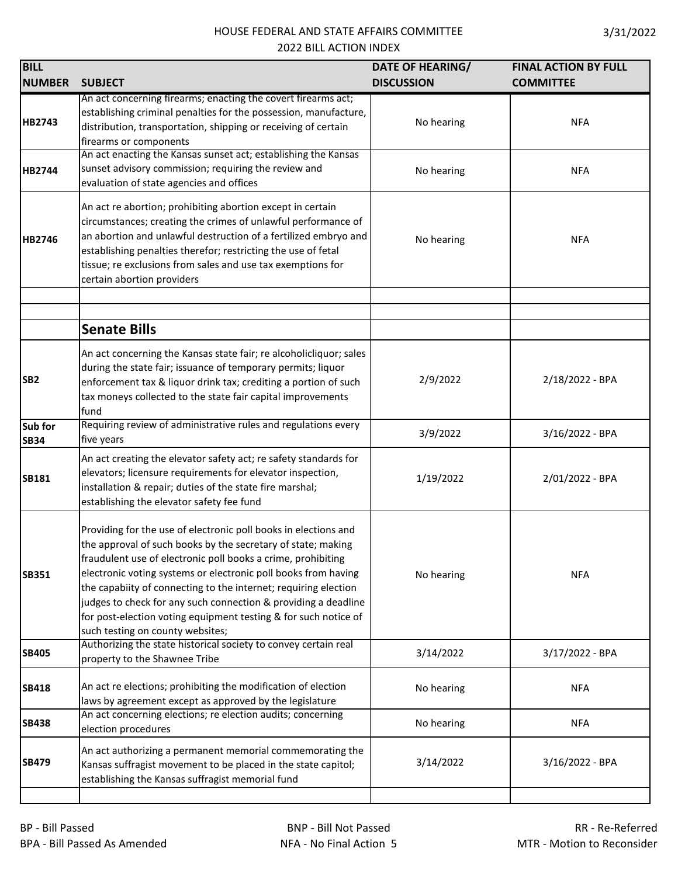| <b>BILL</b>            |                                                                                                                                                                                                                                                                                                                                                                                                                                                                                                               | <b>DATE OF HEARING/</b> | <b>FINAL ACTION BY FULL</b> |
|------------------------|---------------------------------------------------------------------------------------------------------------------------------------------------------------------------------------------------------------------------------------------------------------------------------------------------------------------------------------------------------------------------------------------------------------------------------------------------------------------------------------------------------------|-------------------------|-----------------------------|
| <b>NUMBER</b>          | <b>SUBJECT</b>                                                                                                                                                                                                                                                                                                                                                                                                                                                                                                | <b>DISCUSSION</b>       | <b>COMMITTEE</b>            |
| <b>HB2743</b>          | An act concerning firearms; enacting the covert firearms act;<br>establishing criminal penalties for the possession, manufacture,<br>distribution, transportation, shipping or receiving of certain<br>firearms or components                                                                                                                                                                                                                                                                                 | No hearing              | <b>NFA</b>                  |
| <b>HB2744</b>          | An act enacting the Kansas sunset act; establishing the Kansas<br>sunset advisory commission; requiring the review and<br>evaluation of state agencies and offices                                                                                                                                                                                                                                                                                                                                            | No hearing              | <b>NFA</b>                  |
| <b>HB2746</b>          | An act re abortion; prohibiting abortion except in certain<br>circumstances; creating the crimes of unlawful performance of<br>an abortion and unlawful destruction of a fertilized embryo and<br>establishing penalties therefor; restricting the use of fetal<br>tissue; re exclusions from sales and use tax exemptions for<br>certain abortion providers                                                                                                                                                  | No hearing              | <b>NFA</b>                  |
|                        | <b>Senate Bills</b>                                                                                                                                                                                                                                                                                                                                                                                                                                                                                           |                         |                             |
| SB <sub>2</sub>        | An act concerning the Kansas state fair; re alcoholicliquor; sales<br>during the state fair; issuance of temporary permits; liquor<br>enforcement tax & liquor drink tax; crediting a portion of such<br>tax moneys collected to the state fair capital improvements<br>fund                                                                                                                                                                                                                                  | 2/9/2022                | 2/18/2022 - BPA             |
| Sub for<br><b>SB34</b> | Requiring review of administrative rules and regulations every<br>five years                                                                                                                                                                                                                                                                                                                                                                                                                                  | 3/9/2022                | 3/16/2022 - BPA             |
| <b>SB181</b>           | An act creating the elevator safety act; re safety standards for<br>elevators; licensure requirements for elevator inspection,<br>installation & repair; duties of the state fire marshal;<br>establishing the elevator safety fee fund                                                                                                                                                                                                                                                                       | 1/19/2022               | 2/01/2022 - BPA             |
| <b>SB351</b>           | Providing for the use of electronic poll books in elections and<br>the approval of such books by the secretary of state; making<br>fraudulent use of electronic poll books a crime, prohibiting<br>electronic voting systems or electronic poll books from having<br>the capabiity of connecting to the internet; requiring election<br>judges to check for any such connection & providing a deadline<br>for post-election voting equipment testing & for such notice of<br>such testing on county websites; | No hearing              | <b>NFA</b>                  |
| <b>SB405</b>           | Authorizing the state historical society to convey certain real<br>property to the Shawnee Tribe                                                                                                                                                                                                                                                                                                                                                                                                              | 3/14/2022               | 3/17/2022 - BPA             |
| <b>SB418</b>           | An act re elections; prohibiting the modification of election<br>laws by agreement except as approved by the legislature                                                                                                                                                                                                                                                                                                                                                                                      | No hearing              | <b>NFA</b>                  |
| <b>SB438</b>           | An act concerning elections; re election audits; concerning<br>election procedures                                                                                                                                                                                                                                                                                                                                                                                                                            | No hearing              | <b>NFA</b>                  |
| <b>SB479</b>           | An act authorizing a permanent memorial commemorating the<br>Kansas suffragist movement to be placed in the state capitol;<br>establishing the Kansas suffragist memorial fund                                                                                                                                                                                                                                                                                                                                | 3/14/2022               | 3/16/2022 - BPA             |

**I**